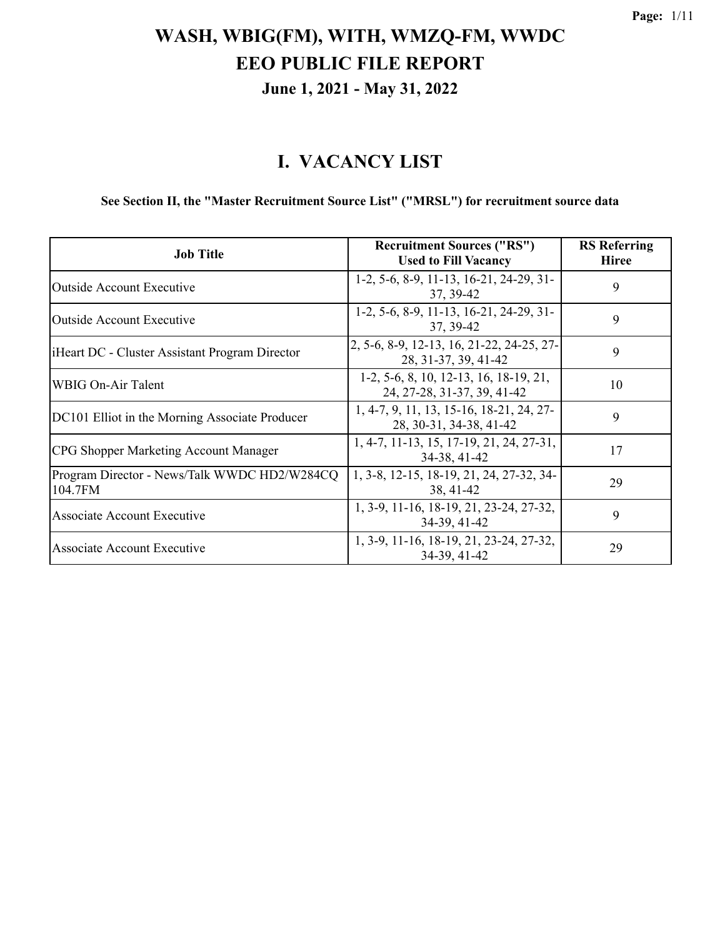#### **I. VACANCY LIST**

#### **See Section II, the "Master Recruitment Source List" ("MRSL") for recruitment source data**

| <b>Job Title</b>                                        | <b>Recruitment Sources ("RS")</b><br><b>Used to Fill Vacancy</b>      | <b>RS</b> Referring<br><b>Hiree</b> |
|---------------------------------------------------------|-----------------------------------------------------------------------|-------------------------------------|
| <b>Outside Account Executive</b>                        | 1-2, 5-6, 8-9, 11-13, 16-21, 24-29, 31-<br>37, 39-42                  | 9                                   |
| <b>Outside Account Executive</b>                        | 1-2, 5-6, 8-9, 11-13, 16-21, 24-29, 31-<br>37, 39-42                  | 9                                   |
| iHeart DC - Cluster Assistant Program Director          | 2, 5-6, 8-9, 12-13, 16, 21-22, 24-25, 27-<br>28, 31-37, 39, 41-42     | 9                                   |
| <b>WBIG On-Air Talent</b>                               | 1-2, 5-6, 8, 10, 12-13, 16, 18-19, 21,<br>24, 27-28, 31-37, 39, 41-42 | 10                                  |
| DC101 Elliot in the Morning Associate Producer          | 1, 4-7, 9, 11, 13, 15-16, 18-21, 24, 27-<br>28, 30-31, 34-38, 41-42   | 9                                   |
| CPG Shopper Marketing Account Manager                   | 1, 4-7, 11-13, 15, 17-19, 21, 24, 27-31,<br>34-38, 41-42              | 17                                  |
| Program Director - News/Talk WWDC HD2/W284CQ<br>104.7FM | 1, 3-8, 12-15, 18-19, 21, 24, 27-32, 34-<br>38, 41-42                 | 29                                  |
| Associate Account Executive                             | 1, 3-9, 11-16, 18-19, 21, 23-24, 27-32,<br>34-39, 41-42               | 9                                   |
| Associate Account Executive                             | 1, 3-9, 11-16, 18-19, 21, 23-24, 27-32,<br>34-39, 41-42               | 29                                  |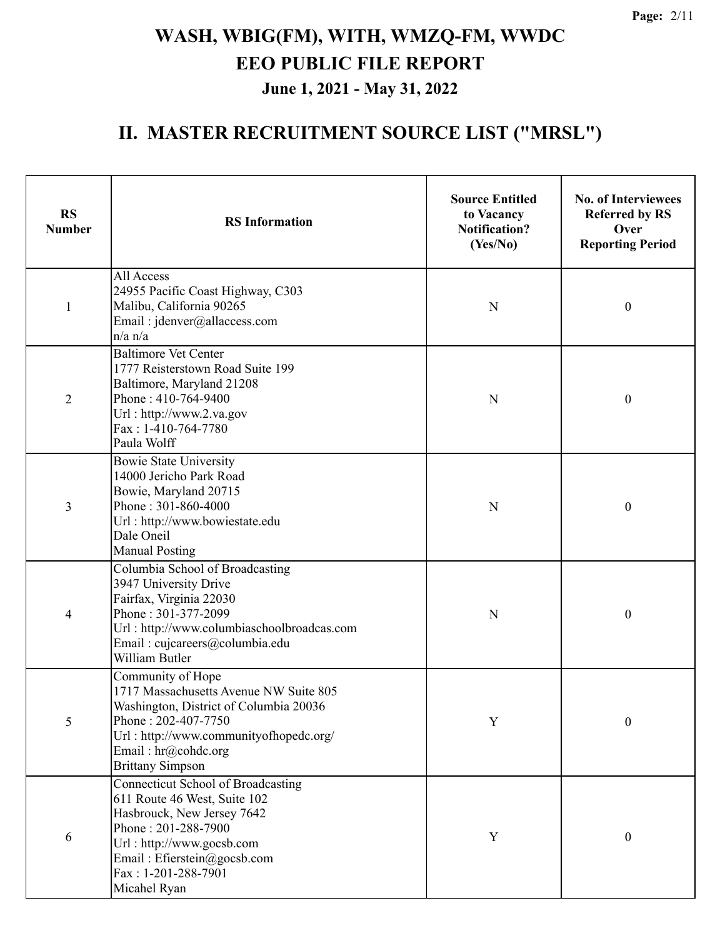| <b>RS</b><br><b>Number</b> | <b>RS</b> Information                                                                                                                                                                                                      | <b>Source Entitled</b><br>to Vacancy<br><b>Notification?</b><br>(Yes/No) | <b>No. of Interviewees</b><br><b>Referred by RS</b><br>Over<br><b>Reporting Period</b> |
|----------------------------|----------------------------------------------------------------------------------------------------------------------------------------------------------------------------------------------------------------------------|--------------------------------------------------------------------------|----------------------------------------------------------------------------------------|
| 1                          | All Access<br>24955 Pacific Coast Highway, C303<br>Malibu, California 90265<br>Email: jdenver@allaccess.com<br>$n/a$ $n/a$                                                                                                 | N                                                                        | $\boldsymbol{0}$                                                                       |
| $\overline{2}$             | <b>Baltimore Vet Center</b><br>1777 Reisterstown Road Suite 199<br>Baltimore, Maryland 21208<br>Phone: 410-764-9400<br>Url: http://www.2.va.gov<br>$Fax: 1-410-764-7780$<br>Paula Wolff                                    | N                                                                        | $\boldsymbol{0}$                                                                       |
| 3                          | <b>Bowie State University</b><br>14000 Jericho Park Road<br>Bowie, Maryland 20715<br>Phone: 301-860-4000<br>Url: http://www.bowiestate.edu<br>Dale Oneil<br><b>Manual Posting</b>                                          | N                                                                        | $\boldsymbol{0}$                                                                       |
| 4                          | Columbia School of Broadcasting<br>3947 University Drive<br>Fairfax, Virginia 22030<br>Phone: 301-377-2099<br>Url: http://www.columbiaschoolbroadcas.com<br>Email: cujcareers@columbia.edu<br>William Butler               | N                                                                        | $\boldsymbol{0}$                                                                       |
| 5                          | Community of Hope<br>1717 Massachusetts Avenue NW Suite 805<br>Washington, District of Columbia 20036<br>Phone: 202-407-7750<br>Url: http://www.communityofhopedc.org/<br>Email: hr@cohdc.org<br><b>Brittany Simpson</b>   |                                                                          | $\boldsymbol{0}$                                                                       |
| 6                          | Connecticut School of Broadcasting<br>611 Route 46 West, Suite 102<br>Hasbrouck, New Jersey 7642<br>Phone: 201-288-7900<br>Url: http://www.gocsb.com<br>Email: Efierstein@gocsb.com<br>Fax: 1-201-288-7901<br>Micahel Ryan | Y                                                                        | $\boldsymbol{0}$                                                                       |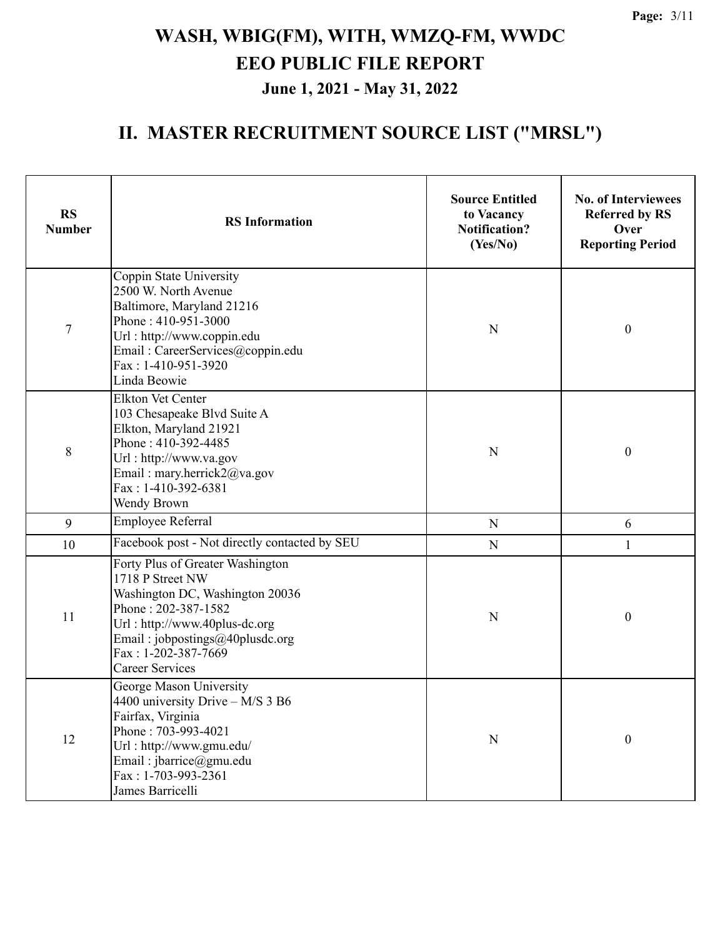| <b>RS</b><br><b>Number</b> | <b>RS</b> Information                                                                                                                                                                                                               | <b>Source Entitled</b><br>to Vacancy<br><b>Notification?</b><br>(Yes/No) | <b>No. of Interviewees</b><br><b>Referred by RS</b><br>Over<br><b>Reporting Period</b> |
|----------------------------|-------------------------------------------------------------------------------------------------------------------------------------------------------------------------------------------------------------------------------------|--------------------------------------------------------------------------|----------------------------------------------------------------------------------------|
| $\tau$                     | Coppin State University<br>2500 W. North Avenue<br>Baltimore, Maryland 21216<br>Phone: 410-951-3000<br>Url: http://www.coppin.edu<br>Email: CareerServices@coppin.edu<br>Fax: 1-410-951-3920<br>Linda Beowie                        | N                                                                        | $\boldsymbol{0}$                                                                       |
| 8                          | <b>Elkton Vet Center</b><br>103 Chesapeake Blvd Suite A<br>Elkton, Maryland 21921<br>Phone: 410-392-4485<br>${\bf N}$<br>Url: http://www.va.gov<br>Email: mary.herrick2@va.gov<br>Fax: 1-410-392-6381<br>Wendy Brown                |                                                                          | $\boldsymbol{0}$                                                                       |
| 9                          | <b>Employee Referral</b>                                                                                                                                                                                                            | ${\bf N}$                                                                | 6                                                                                      |
| 10                         | Facebook post - Not directly contacted by SEU                                                                                                                                                                                       | ${\bf N}$                                                                | $\mathbf{1}$                                                                           |
| 11                         | Forty Plus of Greater Washington<br>1718 P Street NW<br>Washington DC, Washington 20036<br>Phone: 202-387-1582<br>Url: http://www.40plus-dc.org<br>Email: jobpostings@40plusdc.org<br>Fax: 1-202-387-7669<br><b>Career Services</b> | N                                                                        | $\boldsymbol{0}$                                                                       |
| 12                         | George Mason University<br>4400 university Drive – M/S 3 B6<br>Fairfax, Virginia<br>Phone: 703-993-4021<br>Url: http://www.gmu.edu/<br>Email: jbarrice@gmu.edu<br>Fax: 1-703-993-2361<br>James Barricelli                           | $\mathbf N$                                                              | $\boldsymbol{0}$                                                                       |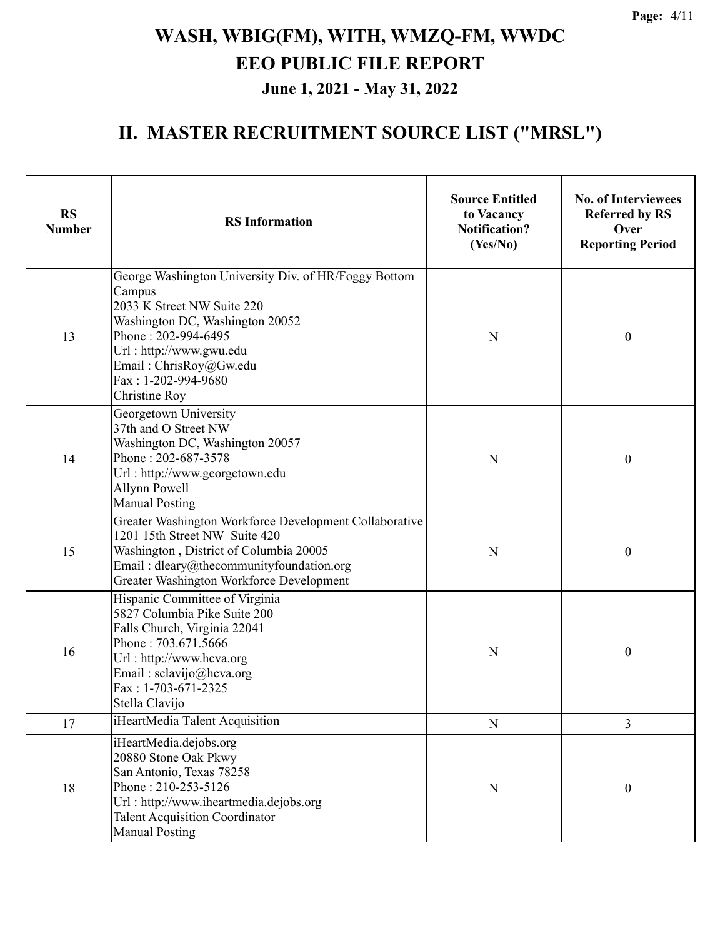**Page:** 4/11

# **WASH, WBIG(FM), WITH, WMZQ-FM, WWDC EEO PUBLIC FILE REPORT June 1, 2021 - May 31, 2022**

| <b>RS</b><br><b>Number</b> | <b>RS</b> Information                                                                                                                                                                                                                                    | <b>Source Entitled</b><br>to Vacancy<br><b>Notification?</b><br>(Yes/No) | <b>No. of Interviewees</b><br><b>Referred by RS</b><br>Over<br><b>Reporting Period</b> |
|----------------------------|----------------------------------------------------------------------------------------------------------------------------------------------------------------------------------------------------------------------------------------------------------|--------------------------------------------------------------------------|----------------------------------------------------------------------------------------|
| 13                         | George Washington University Div. of HR/Foggy Bottom<br>Campus<br>2033 K Street NW Suite 220<br>Washington DC, Washington 20052<br>Phone: 202-994-6495<br>N<br>Url: http://www.gwu.edu<br>Email: ChrisRoy@Gw.edu<br>Fax: 1-202-994-9680<br>Christine Roy |                                                                          | $\boldsymbol{0}$                                                                       |
| 14                         | Georgetown University<br>37th and O Street NW<br>Washington DC, Washington 20057<br>Phone: 202-687-3578<br>Url: http://www.georgetown.edu<br>Allynn Powell<br><b>Manual Posting</b>                                                                      | N                                                                        |                                                                                        |
| 15                         | Greater Washington Workforce Development Collaborative<br>1201 15th Street NW Suite 420<br>Washington, District of Columbia 20005<br>Email: dleary@thecommunityfoundation.org<br>Greater Washington Workforce Development                                | N                                                                        | $\boldsymbol{0}$                                                                       |
| 16                         | Hispanic Committee of Virginia<br>5827 Columbia Pike Suite 200<br>Falls Church, Virginia 22041<br>Phone: 703.671.5666<br>Url: http://www.hcva.org<br>Email: sclavijo@hcva.org<br>Fax: 1-703-671-2325<br>Stella Clavijo                                   | N                                                                        | $\boldsymbol{0}$                                                                       |
| 17                         | iHeartMedia Talent Acquisition                                                                                                                                                                                                                           | ${\bf N}$                                                                | 3                                                                                      |
| 18                         | iHeartMedia.dejobs.org<br>20880 Stone Oak Pkwy<br>San Antonio, Texas 78258<br>Phone: 210-253-5126<br>Url: http://www.iheartmedia.dejobs.org<br><b>Talent Acquisition Coordinator</b><br><b>Manual Posting</b>                                            | ${\bf N}$                                                                | $\boldsymbol{0}$                                                                       |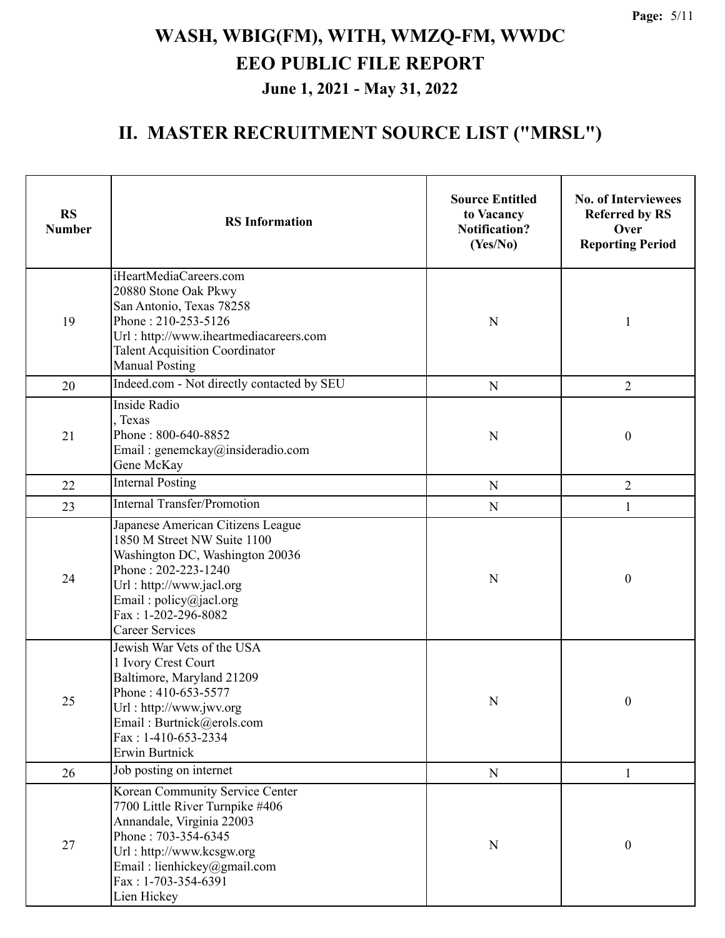| <b>RS</b><br><b>Number</b> | <b>RS</b> Information                                                                                                                                                                                                             | <b>Source Entitled</b><br>to Vacancy<br><b>Notification?</b><br>(Yes/No) | <b>No. of Interviewees</b><br><b>Referred by RS</b><br>Over<br><b>Reporting Period</b> |  |
|----------------------------|-----------------------------------------------------------------------------------------------------------------------------------------------------------------------------------------------------------------------------------|--------------------------------------------------------------------------|----------------------------------------------------------------------------------------|--|
| 19                         | iHeartMediaCareers.com<br>20880 Stone Oak Pkwy<br>San Antonio, Texas 78258<br>Phone: 210-253-5126<br>Url: http://www.iheartmediacareers.com<br><b>Talent Acquisition Coordinator</b><br><b>Manual Posting</b>                     |                                                                          | 1                                                                                      |  |
| 20                         | Indeed.com - Not directly contacted by SEU                                                                                                                                                                                        | ${\bf N}$                                                                | $\overline{2}$                                                                         |  |
| 21                         | <b>Inside Radio</b><br>, Texas<br>Phone: 800-640-8852<br>Email: genemckay@insideradio.com<br>Gene McKay                                                                                                                           | N                                                                        | $\boldsymbol{0}$                                                                       |  |
| 22                         | <b>Internal Posting</b>                                                                                                                                                                                                           | N                                                                        | $\overline{2}$                                                                         |  |
| 23                         | <b>Internal Transfer/Promotion</b>                                                                                                                                                                                                | $\mathbf N$                                                              | 1                                                                                      |  |
| 24                         | Japanese American Citizens League<br>1850 M Street NW Suite 1100<br>Washington DC, Washington 20036<br>Phone: 202-223-1240<br>Url: http://www.jacl.org<br>Email: policy@jacl.org<br>Fax: 1-202-296-8082<br><b>Career Services</b> | N                                                                        | $\boldsymbol{0}$                                                                       |  |
| 25                         | Jewish War Vets of the USA<br>1 Ivory Crest Court<br>Baltimore, Maryland 21209<br>Phone: 410-653-5577<br>Url: http://www.jwv.org<br>Email: Burtnick@erols.com<br>Fax: 1-410-653-2334<br>Erwin Burtnick                            | ${\bf N}$                                                                | $\boldsymbol{0}$                                                                       |  |
| 26                         | Job posting on internet                                                                                                                                                                                                           | ${\bf N}$                                                                | 1                                                                                      |  |
| 27                         | Korean Community Service Center<br>7700 Little River Turnpike #406<br>Annandale, Virginia 22003<br>Phone: 703-354-6345<br>Url: http://www.kcsgw.org<br>Email: lienhickey@gmail.com<br>Fax: 1-703-354-6391<br>Lien Hickey          | ${\bf N}$                                                                | $\boldsymbol{0}$                                                                       |  |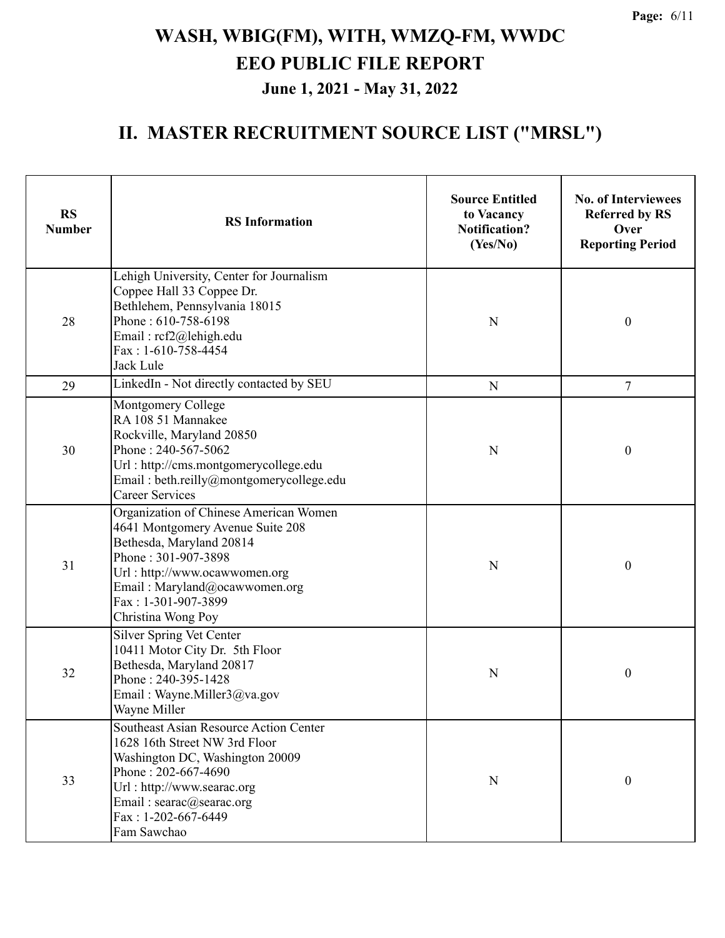| <b>RS</b><br><b>Number</b>                                                                                                                                         | <b>RS</b> Information                                                                                                                                                                                                                        | <b>Source Entitled</b><br>to Vacancy<br><b>Notification?</b><br>(Yes/No) | <b>No. of Interviewees</b><br><b>Referred by RS</b><br>Over<br><b>Reporting Period</b> |
|--------------------------------------------------------------------------------------------------------------------------------------------------------------------|----------------------------------------------------------------------------------------------------------------------------------------------------------------------------------------------------------------------------------------------|--------------------------------------------------------------------------|----------------------------------------------------------------------------------------|
| 28                                                                                                                                                                 | Lehigh University, Center for Journalism<br>Coppee Hall 33 Coppee Dr.<br>Bethlehem, Pennsylvania 18015<br>Phone: 610-758-6198<br>Email: rcf2@lehigh.edu<br>Fax: 1-610-758-4454<br>Jack Lule                                                  | N                                                                        | $\boldsymbol{0}$                                                                       |
| 29                                                                                                                                                                 | LinkedIn - Not directly contacted by SEU                                                                                                                                                                                                     | ${\bf N}$                                                                | $\tau$                                                                                 |
| 30                                                                                                                                                                 | Montgomery College<br>RA 108 51 Mannakee<br>Rockville, Maryland 20850<br>Phone: 240-567-5062<br>Url: http://cms.montgomerycollege.edu<br>Email: beth.reilly@montgomerycollege.edu<br><b>Career Services</b>                                  | N                                                                        | $\boldsymbol{0}$                                                                       |
| 31                                                                                                                                                                 | Organization of Chinese American Women<br>4641 Montgomery Avenue Suite 208<br>Bethesda, Maryland 20814<br>Phone: 301-907-3898<br>Url: http://www.ocawwomen.org<br>Email: Maryland@ocawwomen.org<br>Fax: 1-301-907-3899<br>Christina Wong Poy | N                                                                        | $\boldsymbol{0}$                                                                       |
| Silver Spring Vet Center<br>10411 Motor City Dr. 5th Floor<br>Bethesda, Maryland 20817<br>32<br>Phone: 240-395-1428<br>Email: Wayne.Miller3@va.gov<br>Wayne Miller |                                                                                                                                                                                                                                              | N                                                                        | $\boldsymbol{0}$                                                                       |
| 33                                                                                                                                                                 | Southeast Asian Resource Action Center<br>1628 16th Street NW 3rd Floor<br>Washington DC, Washington 20009<br>Phone: 202-667-4690<br>Url: http://www.searac.org<br>Email: searac@searac.org<br>Fax: 1-202-667-6449<br>Fam Sawchao            | N                                                                        | $\boldsymbol{0}$                                                                       |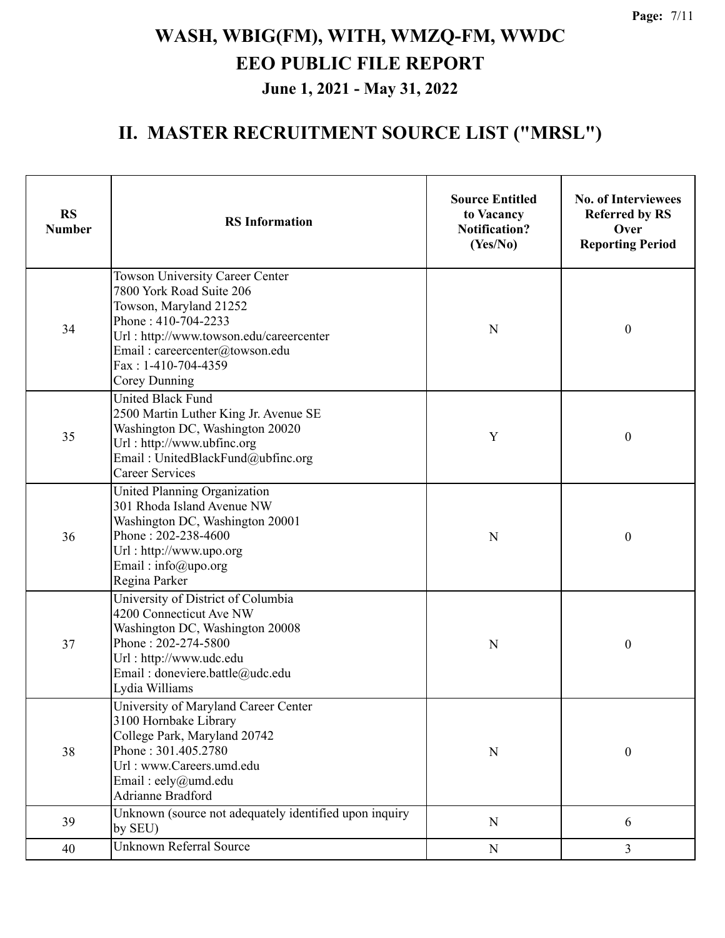| <b>RS</b><br><b>Number</b> | <b>RS</b> Information                                                                                                                                                                                                                    | <b>Source Entitled</b><br>to Vacancy<br><b>Notification?</b><br>(Yes/No) | <b>No. of Interviewees</b><br><b>Referred by RS</b><br>Over<br><b>Reporting Period</b> |
|----------------------------|------------------------------------------------------------------------------------------------------------------------------------------------------------------------------------------------------------------------------------------|--------------------------------------------------------------------------|----------------------------------------------------------------------------------------|
| 34                         | <b>Towson University Career Center</b><br>7800 York Road Suite 206<br>Towson, Maryland 21252<br>Phone: 410-704-2233<br>Url: http://www.towson.edu/careercenter<br>Email: careercenter@towson.edu<br>Fax: 1-410-704-4359<br>Corey Dunning | N                                                                        | $\boldsymbol{0}$                                                                       |
| 35                         | <b>United Black Fund</b><br>2500 Martin Luther King Jr. Avenue SE<br>Washington DC, Washington 20020<br>Url: http://www.ubfinc.org<br>Email: UnitedBlackFund@ubfinc.org<br><b>Career Services</b>                                        | Y                                                                        | $\boldsymbol{0}$                                                                       |
| 36                         | United Planning Organization<br>301 Rhoda Island Avenue NW<br>Washington DC, Washington 20001<br>Phone: 202-238-4600<br>Url: http://www.upo.org<br>Email: $info@$ upo.org<br>Regina Parker                                               | N                                                                        | $\boldsymbol{0}$                                                                       |
| 37                         | University of District of Columbia<br>4200 Connecticut Ave NW<br>Washington DC, Washington 20008<br>Phone: 202-274-5800<br>Url: http://www.udc.edu<br>Email: doneviere.battle@udc.edu<br>Lydia Williams                                  | N                                                                        | $\boldsymbol{0}$                                                                       |
| 38                         | University of Maryland Career Center<br>3100 Hornbake Library<br>College Park, Maryland 20742<br>Phone: 301.405.2780<br>Url: www.Careers.umd.edu<br>Email: eely@umd.edu<br>Adrianne Bradford                                             | $\mathbf N$                                                              | $\boldsymbol{0}$                                                                       |
| 39                         | Unknown (source not adequately identified upon inquiry<br>by SEU)                                                                                                                                                                        | $\mathbf N$                                                              | 6                                                                                      |
| 40                         | Unknown Referral Source                                                                                                                                                                                                                  | ${\bf N}$                                                                | $\overline{3}$                                                                         |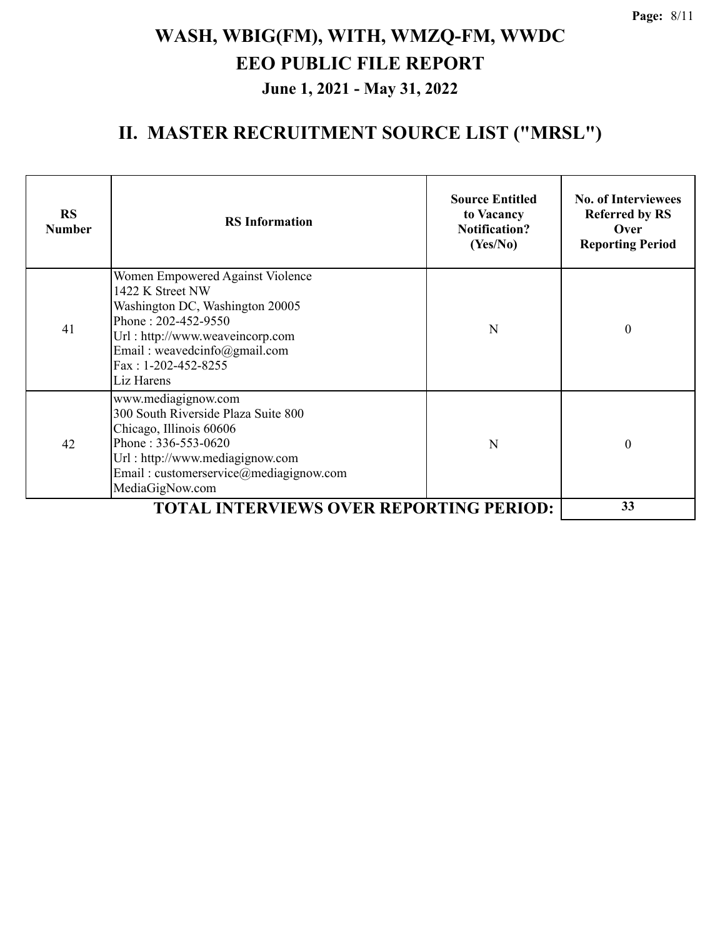| <b>RS</b><br><b>Number</b> | <b>RS</b> Information                                                                                                                                                                                                  | <b>Source Entitled</b><br>to Vacancy<br><b>Notification?</b><br>(Yes/No) | <b>No. of Interviewees</b><br><b>Referred by RS</b><br>Over<br><b>Reporting Period</b> |  |  |
|----------------------------|------------------------------------------------------------------------------------------------------------------------------------------------------------------------------------------------------------------------|--------------------------------------------------------------------------|----------------------------------------------------------------------------------------|--|--|
| 41                         | Women Empowered Against Violence<br>1422 K Street NW<br>Washington DC, Washington 20005<br>Phone: 202-452-9550<br>Url: http://www.weaveincorp.com<br>Email: weavedcinfo@gmail.com<br>Fax: 1-202-452-8255<br>Liz Harens | N                                                                        | $\boldsymbol{0}$                                                                       |  |  |
| 42                         | www.mediagignow.com<br>300 South Riverside Plaza Suite 800<br>Chicago, Illinois 60606<br>Phone: $336 - 553 - 0620$<br>Url: http://www.mediagignow.com<br>Email: customerservice@mediagignow.com<br>MediaGigNow.com     | N                                                                        | $\boldsymbol{0}$                                                                       |  |  |
|                            | <b>TOTAL INTERVIEWS OVER REPORTING PERIOD:</b>                                                                                                                                                                         |                                                                          |                                                                                        |  |  |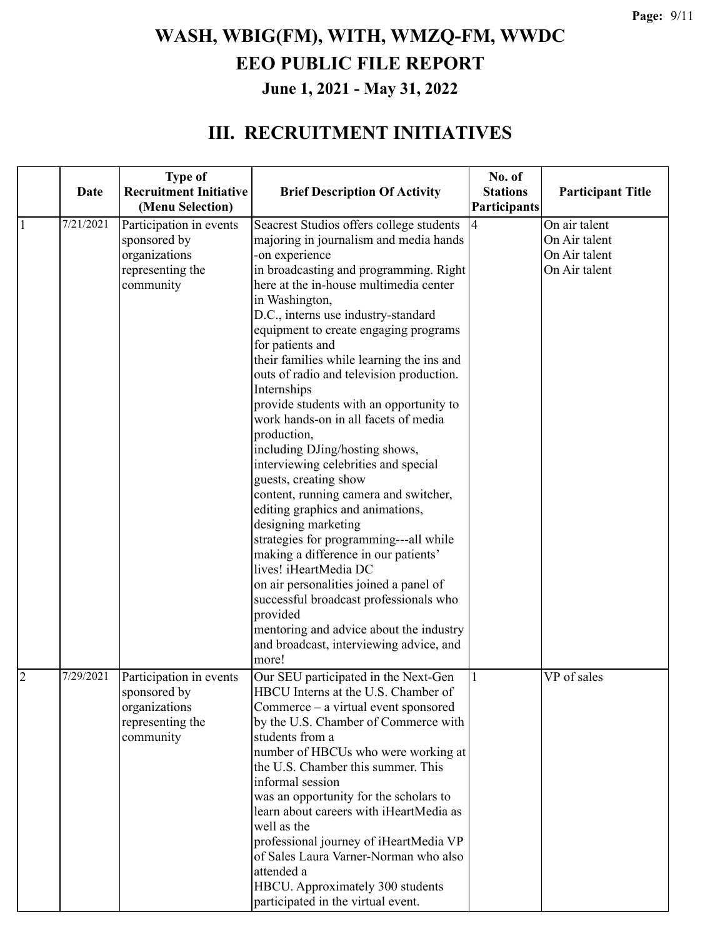#### **III. RECRUITMENT INITIATIVES**

|                |           | <b>Type of</b>                    |                                                                                    | No. of          |                          |
|----------------|-----------|-----------------------------------|------------------------------------------------------------------------------------|-----------------|--------------------------|
|                | Date      | <b>Recruitment Initiative</b>     | <b>Brief Description Of Activity</b>                                               | <b>Stations</b> | <b>Participant Title</b> |
|                |           | (Menu Selection)                  |                                                                                    | Participants    |                          |
| 1              | 7/21/2021 | Participation in events           | Seacrest Studios offers college students                                           | $\overline{4}$  | On air talent            |
|                |           | sponsored by                      | majoring in journalism and media hands                                             |                 | On Air talent            |
|                |           | organizations                     | -on experience                                                                     |                 | On Air talent            |
|                |           | representing the                  | in broadcasting and programming. Right                                             |                 | On Air talent            |
|                |           | community                         | here at the in-house multimedia center                                             |                 |                          |
|                |           |                                   | in Washington,                                                                     |                 |                          |
|                |           |                                   | D.C., interns use industry-standard                                                |                 |                          |
|                |           |                                   | equipment to create engaging programs                                              |                 |                          |
|                |           |                                   | for patients and                                                                   |                 |                          |
|                |           |                                   | their families while learning the ins and                                          |                 |                          |
|                |           |                                   | outs of radio and television production.                                           |                 |                          |
|                |           |                                   | Internships                                                                        |                 |                          |
|                |           |                                   | provide students with an opportunity to                                            |                 |                          |
|                |           |                                   | work hands-on in all facets of media                                               |                 |                          |
|                |           |                                   | production,                                                                        |                 |                          |
|                |           |                                   | including DJing/hosting shows,                                                     |                 |                          |
|                |           |                                   | interviewing celebrities and special                                               |                 |                          |
|                |           |                                   | guests, creating show                                                              |                 |                          |
|                |           |                                   | content, running camera and switcher,                                              |                 |                          |
|                |           |                                   | editing graphics and animations,                                                   |                 |                          |
|                |           |                                   | designing marketing                                                                |                 |                          |
|                |           |                                   | strategies for programming---all while                                             |                 |                          |
|                |           |                                   | making a difference in our patients'                                               |                 |                          |
|                |           |                                   | lives! iHeartMedia DC                                                              |                 |                          |
|                |           |                                   | on air personalities joined a panel of                                             |                 |                          |
|                |           |                                   | successful broadcast professionals who<br>provided                                 |                 |                          |
|                |           |                                   |                                                                                    |                 |                          |
|                |           |                                   | mentoring and advice about the industry<br>and broadcast, interviewing advice, and |                 |                          |
|                |           |                                   | more!                                                                              |                 |                          |
|                | 7/29/2021 |                                   |                                                                                    |                 |                          |
| $\overline{2}$ |           | Participation in events           | Our SEU participated in the Next-Gen                                               |                 | VP of sales              |
|                |           | sponsored by                      | HBCU Interns at the U.S. Chamber of<br>Commerce – a virtual event sponsored        |                 |                          |
|                |           | organizations<br>representing the | by the U.S. Chamber of Commerce with                                               |                 |                          |
|                |           | community                         | students from a                                                                    |                 |                          |
|                |           |                                   | number of HBCUs who were working at                                                |                 |                          |
|                |           |                                   | the U.S. Chamber this summer. This                                                 |                 |                          |
|                |           |                                   | informal session                                                                   |                 |                          |
|                |           |                                   | was an opportunity for the scholars to                                             |                 |                          |
|                |           |                                   | learn about careers with iHeartMedia as                                            |                 |                          |
|                |           |                                   | well as the                                                                        |                 |                          |
|                |           |                                   | professional journey of iHeartMedia VP                                             |                 |                          |
|                |           |                                   | of Sales Laura Varner-Norman who also                                              |                 |                          |
|                |           |                                   | attended a                                                                         |                 |                          |
|                |           |                                   | HBCU. Approximately 300 students                                                   |                 |                          |
|                |           |                                   | participated in the virtual event.                                                 |                 |                          |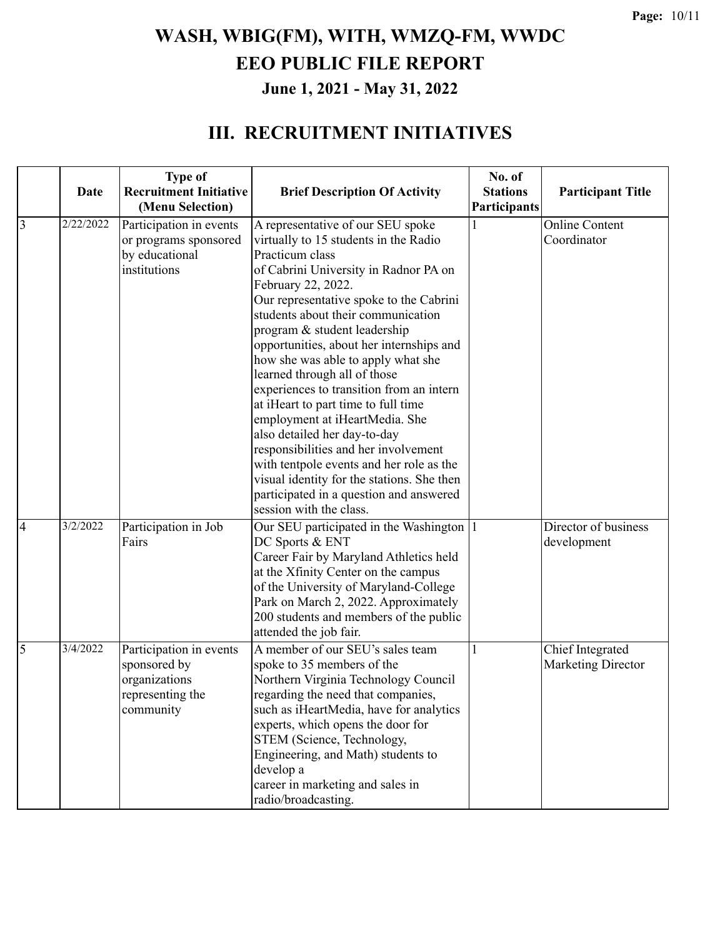#### **III. RECRUITMENT INITIATIVES**

|                | Date      | <b>Type of</b><br><b>Recruitment Initiative</b><br>(Menu Selection)                       | <b>Brief Description Of Activity</b>                                                                                                                                                                                                                                                                                                                                                                                                                                                                                                                                                                                                                                                                                                                         | No. of<br><b>Stations</b><br>Participants | <b>Participant Title</b>               |
|----------------|-----------|-------------------------------------------------------------------------------------------|--------------------------------------------------------------------------------------------------------------------------------------------------------------------------------------------------------------------------------------------------------------------------------------------------------------------------------------------------------------------------------------------------------------------------------------------------------------------------------------------------------------------------------------------------------------------------------------------------------------------------------------------------------------------------------------------------------------------------------------------------------------|-------------------------------------------|----------------------------------------|
| $\overline{3}$ | 2/22/2022 | Participation in events<br>or programs sponsored<br>by educational<br>institutions        | A representative of our SEU spoke<br>virtually to 15 students in the Radio<br>Practicum class<br>of Cabrini University in Radnor PA on<br>February 22, 2022.<br>Our representative spoke to the Cabrini<br>students about their communication<br>program & student leadership<br>opportunities, about her internships and<br>how she was able to apply what she<br>learned through all of those<br>experiences to transition from an intern<br>at iHeart to part time to full time<br>employment at iHeartMedia. She<br>also detailed her day-to-day<br>responsibilities and her involvement<br>with tentpole events and her role as the<br>visual identity for the stations. She then<br>participated in a question and answered<br>session with the class. |                                           | Online Content<br>Coordinator          |
| $\overline{4}$ | 3/2/2022  | Participation in Job<br>Fairs                                                             | Our SEU participated in the Washington   1<br>DC Sports & ENT<br>Career Fair by Maryland Athletics held<br>at the Xfinity Center on the campus<br>of the University of Maryland-College<br>Park on March 2, 2022. Approximately<br>200 students and members of the public<br>attended the job fair.                                                                                                                                                                                                                                                                                                                                                                                                                                                          |                                           | Director of business<br>development    |
| 5              | 3/4/2022  | Participation in events<br>sponsored by<br>organizations<br>representing the<br>community | A member of our SEU's sales team<br>spoke to 35 members of the<br>Northern Virginia Technology Council<br>regarding the need that companies,<br>such as iHeartMedia, have for analytics<br>experts, which opens the door for<br>STEM (Science, Technology,<br>Engineering, and Math) students to<br>develop a<br>career in marketing and sales in<br>radio/broadcasting.                                                                                                                                                                                                                                                                                                                                                                                     | 1                                         | Chief Integrated<br>Marketing Director |